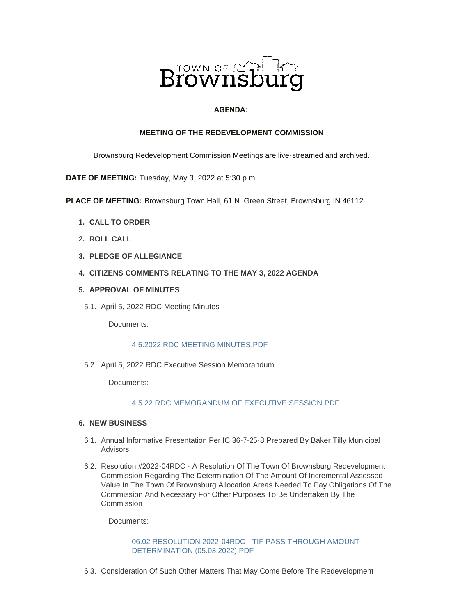

# **AGENDA:**

### **MEETING OF THE REDEVELOPMENT COMMISSION**

Brownsburg Redevelopment Commission Meetings are live-streamed and archived.

**DATE OF MEETING:** Tuesday, May 3, 2022 at 5:30 p.m.

**PLACE OF MEETING:** Brownsburg Town Hall, 61 N. Green Street, Brownsburg IN 46112

- **CALL TO ORDER 1.**
- **ROLL CALL 2.**
- **PLEDGE OF ALLEGIANCE 3.**
- **CITIZENS COMMENTS RELATING TO THE MAY 3, 2022 AGENDA 4.**
- **APPROVAL OF MINUTES 5.**
- 5.1. April 5, 2022 RDC Meeting Minutes

Documents:

#### [4.5.2022 RDC MEETING MINUTES.PDF](https://www.brownsburg.org/AgendaCenter/ViewFile/Item/240?fileID=4422)

5.2. April 5, 2022 RDC Executive Session Memorandum

Documents:

# [4.5.22 RDC MEMORANDUM OF EXECUTIVE SESSION.PDF](https://www.brownsburg.org/AgendaCenter/ViewFile/Item/241?fileID=4423)

## **NEW BUSINESS 6.**

- 6.1. Annual Informative Presentation Per IC 36-7-25-8 Prepared By Baker Tilly Municipal Advisors
- 6.2. Resolution #2022-04RDC A Resolution Of The Town Of Brownsburg Redevelopment Commission Regarding The Determination Of The Amount Of Incremental Assessed Value In The Town Of Brownsburg Allocation Areas Needed To Pay Obligations Of The Commission And Necessary For Other Purposes To Be Undertaken By The Commission

Documents:

[06.02 RESOLUTION 2022-04RDC - TIF PASS THROUGH AMOUNT](https://www.brownsburg.org/AgendaCenter/ViewFile/Item/243?fileID=4424)  DETERMINATION (05.03.2022).PDF

6.3. Consideration Of Such Other Matters That May Come Before The Redevelopment